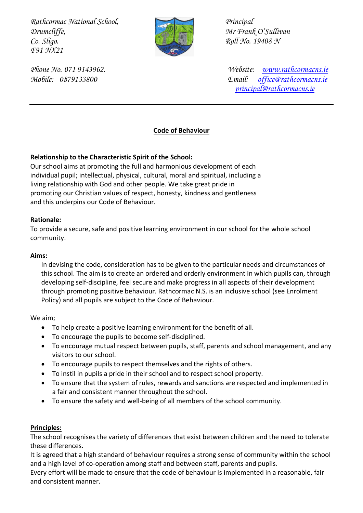*Rathcormac National School, Principal Drumcliffe, Mr Frank O'Sullivan Co. Sligo. Roll No. 19408 N F91 NX21* 



*Phone No. 071 9143962. Website: [www.rathcormacns.ie](http://www.rathcormacns.ie/)  Mobile: 0879133800 Email: [office@rathcormacns.ie](mailto:office@rathcormacns.ie) [principal@rathcormacns.ie](mailto:principal@rathcormacns.ie)*

# **Code of Behaviour**

# **Relationship to the Characteristic Spirit of the School:**

Our school aims at promoting the full and harmonious development of each individual pupil; intellectual, physical, cultural, moral and spiritual, including a living relationship with God and other people. We take great pride in promoting our Christian values of respect, honesty, kindness and gentleness and this underpins our Code of Behaviour.

## **Rationale:**

To provide a secure, safe and positive learning environment in our school for the whole school community.

## **Aims:**

In devising the code, consideration has to be given to the particular needs and circumstances of this school. The aim is to create an ordered and orderly environment in which pupils can, through developing self-discipline, feel secure and make progress in all aspects of their development through promoting positive behaviour. Rathcormac N.S. is an inclusive school (see Enrolment Policy) and all pupils are subject to the Code of Behaviour.

We aim;

- To help create a positive learning environment for the benefit of all.
- To encourage the pupils to become self-disciplined.
- To encourage mutual respect between pupils, staff, parents and school management, and any visitors to our school.
- To encourage pupils to respect themselves and the rights of others.
- To instil in pupils a pride in their school and to respect school property.
- To ensure that the system of rules, rewards and sanctions are respected and implemented in a fair and consistent manner throughout the school.
- To ensure the safety and well-being of all members of the school community.

# **Principles:**

The school recognises the variety of differences that exist between children and the need to tolerate these differences.

It is agreed that a high standard of behaviour requires a strong sense of community within the school and a high level of co-operation among staff and between staff, parents and pupils.

Every effort will be made to ensure that the code of behaviour is implemented in a reasonable, fair and consistent manner.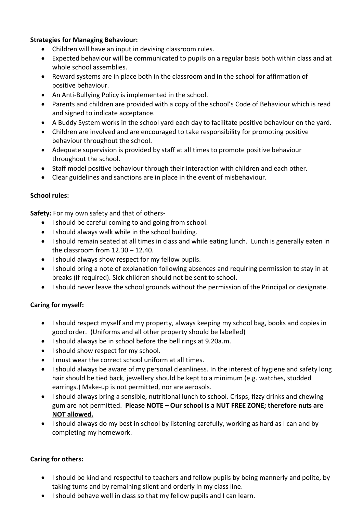# **Strategies for Managing Behaviour:**

- Children will have an input in devising classroom rules.
- Expected behaviour will be communicated to pupils on a regular basis both within class and at whole school assemblies.
- Reward systems are in place both in the classroom and in the school for affirmation of positive behaviour.
- An Anti-Bullying Policy is implemented in the school.
- Parents and children are provided with a copy of the school's Code of Behaviour which is read and signed to indicate acceptance.
- A Buddy System works in the school yard each day to facilitate positive behaviour on the yard.
- Children are involved and are encouraged to take responsibility for promoting positive behaviour throughout the school.
- Adequate supervision is provided by staff at all times to promote positive behaviour throughout the school.
- Staff model positive behaviour through their interaction with children and each other.
- Clear guidelines and sanctions are in place in the event of misbehaviour.

# **School rules:**

**Safety:** For my own safety and that of others-

- I should be careful coming to and going from school.
- I should always walk while in the school building.
- I should remain seated at all times in class and while eating lunch. Lunch is generally eaten in the classroom from 12.30 – 12.40.
- I should always show respect for my fellow pupils.
- I should bring a note of explanation following absences and requiring permission to stay in at breaks (if required). Sick children should not be sent to school.
- I should never leave the school grounds without the permission of the Principal or designate.

# **Caring for myself:**

- I should respect myself and my property, always keeping my school bag, books and copies in good order. (Uniforms and all other property should be labelled)
- I should always be in school before the bell rings at 9.20a.m.
- I should show respect for my school.
- I must wear the correct school uniform at all times.
- I should always be aware of my personal cleanliness. In the interest of hygiene and safety long hair should be tied back, jewellery should be kept to a minimum (e.g. watches, studded earrings.) Make-up is not permitted, nor are aerosols.
- I should always bring a sensible, nutritional lunch to school. Crisps, fizzy drinks and chewing gum are not permitted. **Please NOTE – Our school is a NUT FREE ZONE; therefore nuts are NOT allowed.**
- I should always do my best in school by listening carefully, working as hard as I can and by completing my homework.

# **Caring for others:**

- I should be kind and respectful to teachers and fellow pupils by being mannerly and polite, by taking turns and by remaining silent and orderly in my class line.
- I should behave well in class so that my fellow pupils and I can learn.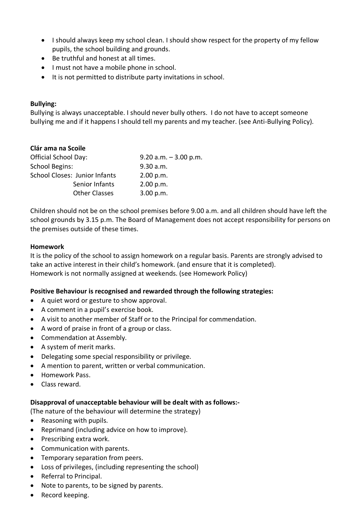- I should always keep my school clean. I should show respect for the property of my fellow pupils, the school building and grounds.
- Be truthful and honest at all times.
- I must not have a mobile phone in school.
- It is not permitted to distribute party invitations in school.

## **Bullying:**

Bullying is always unacceptable. I should never bully others. I do not have to accept someone bullying me and if it happens I should tell my parents and my teacher. (see Anti-Bullying Policy).

## **Clár ama na Scoile**

| <b>Official School Day:</b>   | $9.20$ a.m. $-3.00$ p.m. |
|-------------------------------|--------------------------|
| <b>School Begins:</b>         | 9.30 a.m.                |
| School Closes: Junior Infants | 2.00 p.m.                |
| Senior Infants                | 2.00 p.m.                |
| <b>Other Classes</b>          | 3.00 p.m.                |

Children should not be on the school premises before 9.00 a.m. and all children should have left the school grounds by 3.15 p.m. The Board of Management does not accept responsibility for persons on the premises outside of these times.

#### **Homework**

It is the policy of the school to assign homework on a regular basis. Parents are strongly advised to take an active interest in their child's homework. (and ensure that it is completed). Homework is not normally assigned at weekends. (see Homework Policy)

#### **Positive Behaviour is recognised and rewarded through the following strategies:**

- A quiet word or gesture to show approval.
- A comment in a pupil's exercise book.
- A visit to another member of Staff or to the Principal for commendation.
- A word of praise in front of a group or class.
- Commendation at Assembly.
- A system of merit marks.
- Delegating some special responsibility or privilege.
- A mention to parent, written or verbal communication.
- Homework Pass.
- Class reward.

#### **Disapproval of unacceptable behaviour will be dealt with as follows:-**

(The nature of the behaviour will determine the strategy)

- Reasoning with pupils.
- Reprimand (including advice on how to improve).
- Prescribing extra work.
- Communication with parents.
- Temporary separation from peers.
- Loss of privileges, (including representing the school)
- Referral to Principal.
- Note to parents, to be signed by parents.
- Record keeping.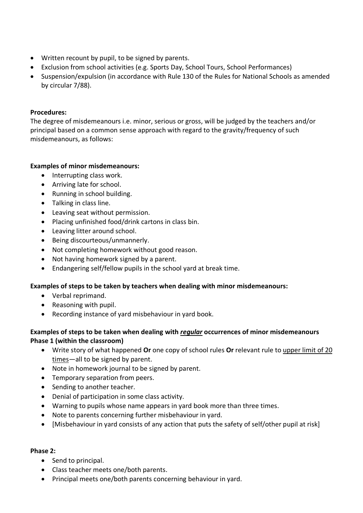- Written recount by pupil, to be signed by parents.
- Exclusion from school activities (e.g. Sports Day, School Tours, School Performances)
- Suspension/expulsion (in accordance with Rule 130 of the Rules for National Schools as amended by circular 7/88).

## **Procedures:**

The degree of misdemeanours i.e. minor, serious or gross, will be judged by the teachers and/or principal based on a common sense approach with regard to the gravity/frequency of such misdemeanours, as follows:

## **Examples of minor misdemeanours:**

- Interrupting class work.
- Arriving late for school.
- Running in school building.
- Talking in class line.
- Leaving seat without permission.
- Placing unfinished food/drink cartons in class bin.
- Leaving litter around school.
- Being discourteous/unmannerly.
- Not completing homework without good reason.
- Not having homework signed by a parent.
- Endangering self/fellow pupils in the school yard at break time.

# **Examples of steps to be taken by teachers when dealing with minor misdemeanours:**

- Verbal reprimand.
- Reasoning with pupil.
- Recording instance of yard misbehaviour in yard book.

# **Examples of steps to be taken when dealing with** *regular* **occurrences of minor misdemeanours Phase 1 (within the classroom)**

- Write story of what happened **Or** one copy of school rules **Or** relevant rule to upper limit of 20 times—all to be signed by parent.
- Note in homework journal to be signed by parent.
- Temporary separation from peers.
- Sending to another teacher.
- Denial of participation in some class activity.
- Warning to pupils whose name appears in yard book more than three times.
- Note to parents concerning further misbehaviour in yard.
- [Misbehaviour in yard consists of any action that puts the safety of self/other pupil at risk]

# **Phase 2:**

- Send to principal.
- Class teacher meets one/both parents.
- Principal meets one/both parents concerning behaviour in yard.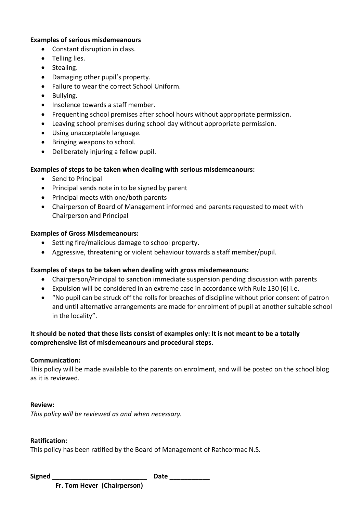#### **Examples of serious misdemeanours**

- Constant disruption in class.
- Telling lies.
- Stealing.
- Damaging other pupil's property.
- Failure to wear the correct School Uniform.
- Bullying.
- Insolence towards a staff member.
- Frequenting school premises after school hours without appropriate permission.
- Leaving school premises during school day without appropriate permission.
- Using unacceptable language.
- Bringing weapons to school.
- Deliberately injuring a fellow pupil.

#### **Examples of steps to be taken when dealing with serious misdemeanours:**

- Send to Principal
- Principal sends note in to be signed by parent
- Principal meets with one/both parents
- Chairperson of Board of Management informed and parents requested to meet with Chairperson and Principal

#### **Examples of Gross Misdemeanours:**

- Setting fire/malicious damage to school property.
- Aggressive, threatening or violent behaviour towards a staff member/pupil.

#### **Examples of steps to be taken when dealing with gross misdemeanours:**

- Chairperson/Principal to sanction immediate suspension pending discussion with parents
- Expulsion will be considered in an extreme case in accordance with Rule 130 (6) i.e.
- "No pupil can be struck off the rolls for breaches of discipline without prior consent of patron and until alternative arrangements are made for enrolment of pupil at another suitable school in the locality".

# **It should be noted that these lists consist of examples only: It is not meant to be a totally comprehensive list of misdemeanours and procedural steps.**

#### **Communication:**

This policy will be made available to the parents on enrolment, and will be posted on the school blog as it is reviewed.

#### **Review:**

*This policy will be reviewed as and when necessary.*

#### **Ratification:**

This policy has been ratified by the Board of Management of Rathcormac N.S.

**Signed** Date Date

 **Fr. Tom Hever (Chairperson)**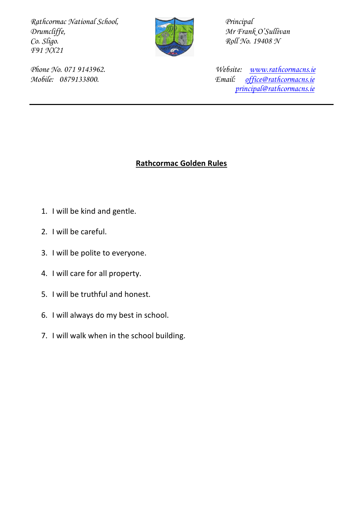Rathcormac National School, Principal Principal Principal Principal Principal Principal Principal Principal Principal Principal Principal Principal Principal Principal Principal Principal Principal Principal Principal Prin *Drumcliffe,*  $\begin{array}{ccc}\n\bullet & \bullet & \bullet \\
\bullet & \bullet & \bullet\n\end{array}$  *Mr Frank O'Sullivan Co. Sligo. F91 NX21* 



*Co. Sligo. Roll No. 19408 N*

*Phone No. 071 9143962. Website: [www.rathcormacns.ie](http://www.rathcormacns.ie/)  Mobile: 0879133800. Email: [office@rathcormacns.ie](mailto:office@rathcormacns.ie) [principal@rathcormacns.ie](mailto:principal@rathcormacns.ie)*

# **Rathcormac Golden Rules**

- 1. I will be kind and gentle.
- 2. I will be careful.
- 3. I will be polite to everyone.
- 4. I will care for all property.
- 5. I will be truthful and honest.
- 6. I will always do my best in school.
- 7. I will walk when in the school building.